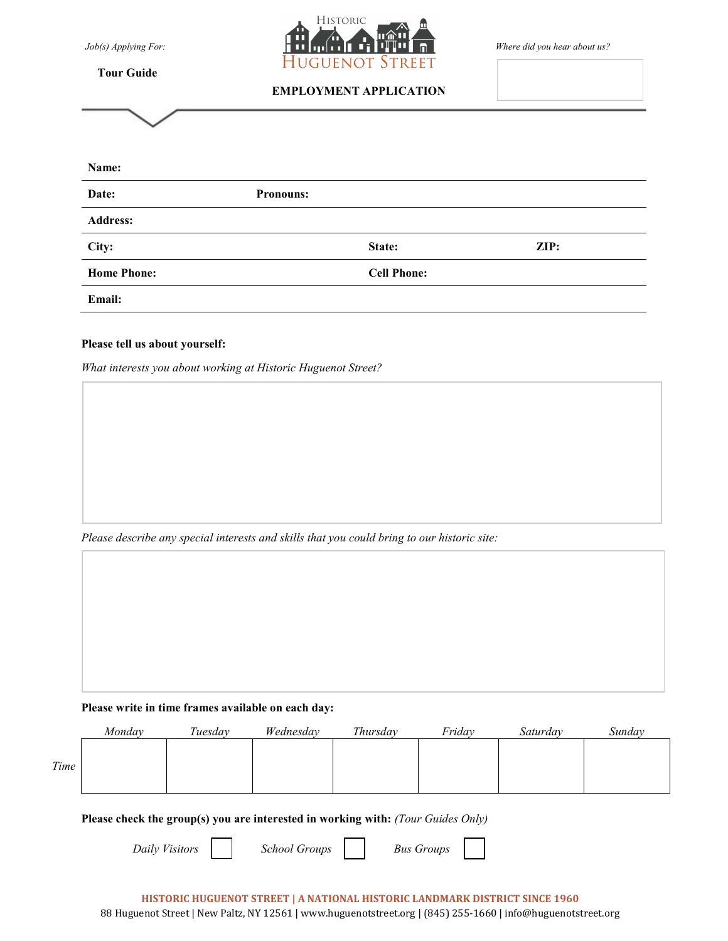**Tour Guide**



# EMPLOYMENT APPLICATION

| Name:              |                  |                    |                 |
|--------------------|------------------|--------------------|-----------------|
| Date:              | <b>Pronouns:</b> |                    |                 |
| <b>Address:</b>    |                  |                    |                 |
| City:              |                  | State:             | $\mathbf{ZIP:}$ |
| <b>Home Phone:</b> |                  | <b>Cell Phone:</b> |                 |
| Email:             |                  |                    |                 |

### Please tell us about yourself:

What interests you about working at Historic Huguenot Street?

Please describe any special interests and skills that you could bring to our historic site:

## Please write in time frames available on each day:

|      | Mondav | Tuesday | Wednesday | Thursdav | Friday | Saturday | Sunday |
|------|--------|---------|-----------|----------|--------|----------|--------|
| Time |        |         |           |          |        |          |        |

### Please check the group(s) you are interested in working with: (Tour Guides Only)

Daily Visitors **Fig. 3** School Groups **Bus Groups**